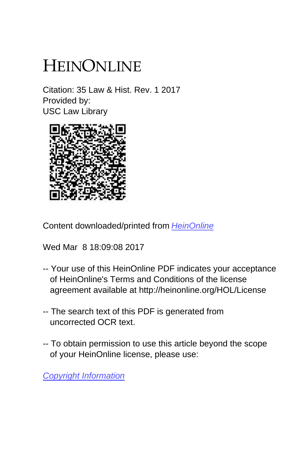# HEINONLINE

Citation: 35 Law & Hist. Rev. 1 2017 Provided by: USC Law Library



Content downloaded/printed from [HeinOnline](http://heinonline.org/HOL/Page?handle=hein.journals/lawhst35&collection=journals&id=9&startid=&endid=16)

Wed Mar 8 18:09:08 2017

- -- Your use of this HeinOnline PDF indicates your acceptance of HeinOnline's Terms and Conditions of the license agreement available at http://heinonline.org/HOL/License
- -- The search text of this PDF is generated from uncorrected OCR text.
- -- To obtain permission to use this article beyond the scope of your HeinOnline license, please use:

[Copyright Information](https://www.copyright.com/ccc/basicSearch.do?operation=go&searchType=0&lastSearch=simple&all=on&titleOrStdNo=0738-2480)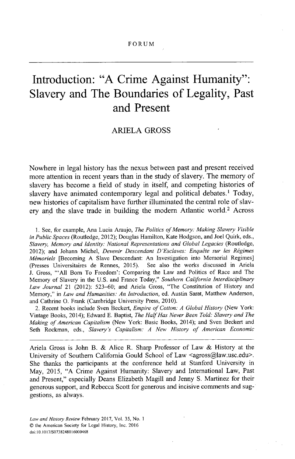# Introduction: **"A** Crime Against Humanity": Slavery and The Boundaries of Legality, Past and Present

## ARIELA **GROSS**

Nowhere in legal history has the nexus between past and present received more attention in recent years than in the study of slavery. The memory of slavery has become a field of study in itself, and competing histories of slavery have animated contemporary legal and political debates.' Today, new histories of capitalism have further illuminated the central role of slavery and the slave trade in building the modern Atlantic world.<sup>2</sup> Across

**1.** See, for example, Ana Lucia Araujo, *The Politics of Memory: Making Slavery Visible in Public Spaces* (Routledge, 2012); Douglas Hamilton, Kate Hodgson, and Joel Quirk, eds., *Slavery, Memory and Identity: National Representations and Global Legacies (Routledge,* 2012); and Johann Michel, *Devenir Descendant D'Esclaves: Enqudte sur les Regimes Mimoriels* [Becoming **A** Slave Descendant: An Investigation into Memorial Regimes] (Presses Universitaires de Rennes, **2015).** See also the works discussed in Ariela **J.** Gross, **"'All** Born To Freedom': Comparing the Law and Politics of Race and The Memory of Slavery in the **U.S.** and France Today," *Southern California Interdisciplinary Law Journal* 21 (2012): *523-60;* and Ariela Gross, "The Constitution of History and Memory," in *Law and Humanities: An Introduction,* ed. Austin Sarat, Matthew Anderson, and Cathrine **0.** Frank (Cambridge University Press, 2010).

2. Recent books include Sven Beckert, *Empire of Cotton: A Global History* (New York: Vintage Books, 2014); Edward **E.** Baptist, *The HalfHas Never Been Told: Slavery and The Making of American Capitalism* (New York: Basic Books, 2014); and Sven Beckert and Seth Rockman, eds., *Slavery's Capitalism: A New History of American Economic*

Ariela Gross is John B. **&** Alice R. Sharp Professor of Law **&** History at the University of Southern California Gould School of Law <agross@law.usc.edu>. She thanks the participants at the conference held at Stanford University in May, **2015, "A** Crime Against Humanity: Slavery and International Law, Past and Present," especially Deans Elizabeth Magill and Jenny **S.** Martinez for their generous support, and Rebecca Scott for generous and incisive comments and suggestions, as always.

*Law and History Review* February **2017,** Vol. **35,** No. **<sup>I</sup>**  $\odot$  the American Society for Legal History, Inc. 2016 doi:10.1017/SO738248016000468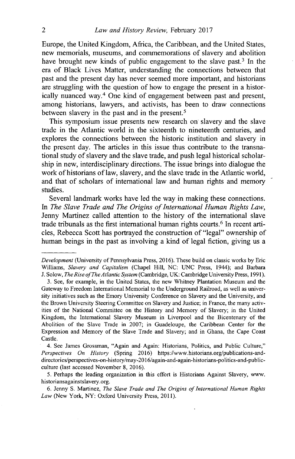Europe, the United Kingdom, Africa, the Caribbean, and the United States, new memorials, museums, and commemorations of slavery and abolition have brought new kinds of public engagement to the slave past.<sup>3</sup> In the era of Black Lives Matter, understanding the connections between that past and the present day has never seemed more important, and historians are struggling with the question of how to engage the present in a historically nuanced way.<sup>4</sup>One kind of engagement between past and present, among historians, lawyers, and activists, has been to draw connections between slavery in the past and in the present.<sup>5</sup>

This symposium issue presents new research on slavery and the slave trade in the Atlantic world in the sixteenth to nineteenth centuries, and explores the connections between the historic institution and slavery in the present day. The articles in this issue thus contribute to the transnational study of slavery and the slave trade, and push legal historical scholarship in new, interdisciplinary directions. The issue brings into dialogue the work of historians of law, slavery, and the slave trade in the Atlantic world, and that of scholars of international law and human rights and memory studies.

Several landmark works have led the way in making these connections. *In The Slave Trade and The Origins of International Human Rights Law,* Jenny Martinez called attention to the history of the international slave trade tribunals as the first international human rights courts.<sup>6</sup> In recent articles, Rebecca Scott has portrayed the construction of "legal" ownership of human beings in the past as involving a kind of legal fiction, giving us a

*Development* (University of Pennsylvania Press, **2016).** These build on classic works **by** Eric Williams, *Slavery and Capitalism* (Chapel Hill, **NC: UNC** Press, 1944); and Barbara **J.** Solow, *The Rise ofTheAtlantic System* (Cambridge, **UK:** Cambridge University Press, **1991).**

**<sup>3.</sup>** See, for example, in the United States, the new Whitney Plantation Museum and the Gateway to Freedom International Memorial to the Underground Railroad, as well as university initiatives such as the Emory University Conference on Slavery and the University, and the Brown University Steering Committee on Slavery and Justice; in France, the many activities of the National Committee on the History and Memory of Slavery; in the United Kingdom, the International Slavery Museum in Liverpool and the Bicentenary of the Abolition of the Slave Trade in **2007;** in Guadeloupe, the Caribbean Center for the Expression and Memory of the Slave Trade and Slavery; and in Ghana, the Cape Coast Castle.

<sup>4.</sup> See James Grossman, "Again and Again: Historians, Politics, and Public Culture," *Perspectives On History* (Spring **2016)** https://www.historians.org/publications-anddirectories/perspectives-on-history/may-2016/again-and-again-historians-politics-and-publicculture (last accessed November **8, 2016).**

*<sup>5.</sup>* Perhaps the leading organization in this effort is Historians Against Slavery, www. historiansagainstslavery.org.

**<sup>6.</sup>** Jenny **S.** Martinez, *The Slave Trade and The Origins of International Human Rights Law* (New York, NY: Oxford University Press, **2011).**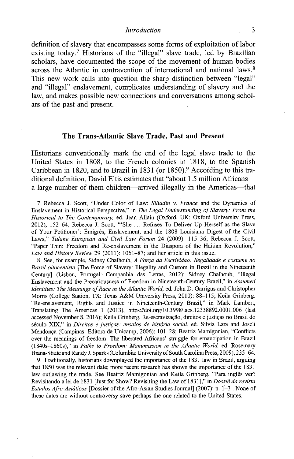definition of slavery that encompasses some forms of exploitation of labor existing today.<sup>7</sup>Historians of the "illegal" slave trade, led **by.** Brazilian scholars, have documented the scope of the movement of human bodies across the Atlantic in contravention of international and national laws.<sup>8</sup> This new work calls into question the sharp distinction between "legal" and "illegal" enslavement, complicates understanding of slavery and the law, and makes possible new connections and conversations among scholars of the past and present.

### **The Trans-Atlantic Slave Trade, Past and Present**

Historians conventionally mark the end of the legal slave trade to the United States in **1808,** to the French colonies in **1818,** to the Spanish Caribbean in **1820,** and to Brazil in **1831** (or **1850).9** According to this traditional definition, David Eltis estimates that "about *1.5* million Africansa large number of them children—arrived illegally in the Americas—that

*7.* Rebecca **J.** Scott, "Under Color of Law: *Siliadin v. France* and the Dynamics of Enslavement in Historical Perspective," in *The Legal Understanding of Slavery: From the Historical to The Contemporary,* **ed.** Jean Allain (Oxford, **UK:** Oxford University Press, 2012), 152-64; Rebecca **J.** Scott, "'She **...** Refuses To Deliver **Up** Herself as the Slave of Your Petitioner': tmigr6s, Enslavement, and the **1808** Louisiana Digest of the Civil Laws," *Tulane European and Civil Law Forum* 24 **(2009): 115-36;** Rebecca **J.** Scott, "Paper Thin: Freedom and Re-enslavement in the Diaspora of the Haitian Revolution," *Law and History Review* **29** (2011): **1061-87;** and her article in this issue.

**8.** See, for example, Sidney Chalhoub, *A Forga da Escrividao: Ilegalidade e costume no Brasil oitocentista* [The Force of Slavery: Illegality and Custom in Brazil in the Nineteenth Century] (Lisbon, Portugal: Companhia das Letras, 2012); Sidney Chalhoub, "Illegal Enslavement and the Precariousness of Freedom in Nineteenth-Century Brazil," in *Assumed Identities: The Meanings of Race in the Atlantic World, ed. John D. Garrigus and Christopher* Morris (College Station, TX: Texas A&M University Press, 2010): **88-115;** Keila Grinberg, "Re-enslavement, Rights and Justice in Nineteenth-Century Brazil," in Mark Lambert, Translating The Americas **1 (2013),** https://doi.org/10.3998/lacs.12338892.0001.006 (last accessed November **8, 2016);** Keila Grinberg, Re-escravizaqio, direitos e justigas no Brasil do século XIX," in *Direitos e justiças: ensaios de história social*, ed. Silvia Lara and Joseli Mendonga (Campinas: Editora da Unicamp, **2006): 101-28;** Beatriz Mamigonian, "Conflicts over the meanings of freedom: The liberated Africans' struggle for emancipation in Brazil (1840s-1860s)," in *Paths to Freedom: Manumission in the Atlantic World,* ed. Rosemary Brana-Shute and Randy **J.** Sparks (Columbia: University of South Carolina Press, **2009), 235-64.**

**9.** Traditionally, historians downplayed the importance of the **1831** law in Brazil, arguing that **1850** was the relevant date; more recent research has shown the importance of the **1831** law outlawing the trade. See Beatriz Mamigonian and Keila Grinberg, "Para inglês ver? Revisitando a lei de **1831** [Just for Show? Revisiting the Law of **1831],"** *in Dossie da revista Estudos Afro-Asiaticos* [Dossier of the Afro-Asian Studies Journal] **(2007):** n. **1-3 .** None of these dates are without controversy save perhaps the one related to the United States.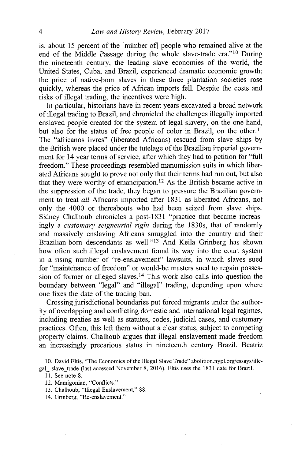is, about **15** percent of the [mimber of] people who remained alive at the end of the Middle Passage during the whole slave-trade era."<sup>10</sup> During the nineteenth century, the leading slave economies of the world, the United States, Cuba, and Brazil, experienced dramatic economic growth; the price of native-born slaves in these three plantation societies rose quickly, whereas the price of African imports fell. Despite the costs and risks of illegal trading, the incentives were high.

In particular, historians have in recent years excavated a broad network of illegal trading to Brazil, and chronicled the challenges illegally imported enslaved people created for the system of legal slavery, on the one hand, but also for the status of free people of color in Brazil, on the other.<sup>11</sup> The "africanos livres" (liberated Africans) rescued from slave ships **by** the British were placed under the tutelage of the Brazilian imperial government for 14 year terms of service, after which they had to petition for **"full** freedom." These proceedings resembled manumission suits in which liberated Africans sought to prove not only that their terms had run out, but also that they were worthy of emancipation.<sup>12</sup> As the British became active in the suppression of the trade, they began to pressure the Brazilian government to treat *all* Africans imported after **1831** as liberated Africans, not only the 4000. or thereabouts who had been seized from slave ships. Sidney Chalhoub chronicles a post-1831 "practice that became increasingly a *customary seigneurial right* during the 1830s, that of randomly and massively enslaving Africans smuggled into the country and their Brazilian-born descendants as well."<sup>13</sup> And Keila Grinberg has shown how often such illegal enslavement found its way into the court system in a rising number of "re-enslavement" lawsuits, in which slaves sued for "maintenance of freedom" or would-be masters sued to regain possession of former or alleged slaves.<sup>14</sup> This work also calls into question the boundary between "legal" and "illegal" trading, depending upon where one fixes the date of the trading ban.

Crossing jurisdictional boundaries put forced migrants under the authority of overlapping and conflicting domestic and international legal regimes, including treaties as well as statutes, codes, judicial cases, and customary practices. Often, this left them without a clear status, subject to competing property claims. Chalhoub argues that illegal enslavement made freedom an increasingly precarious status in nineteenth century Brazil. Beatriz

**<sup>10.</sup>** David Eltis, "The Economics of the Illegal Slave Trade" abolition.nypl.org/essays/illegal slave-trade (last accessed November **8, 2016).** Eltis uses the **1831** date for Brazil.

**<sup>11.</sup>** See note **8.**

<sup>12.</sup> Mamigonian, "Conflicts."

**<sup>13.</sup>** Chalhoub, "Illegal Enslavement," **88.**

<sup>14.</sup> Grinberg, "Re-enslavement."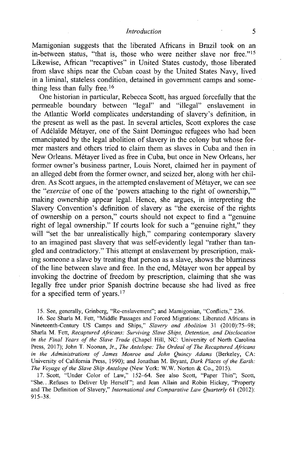Mamigonian suggests that the liberated Africans in Brazil took on an in-between status, "that is, those who were neither slave nor free."<sup>15</sup> Likewise, African "recaptives" in United States custody, those liberated from slave ships near the Cuban coast **by** the United States Navy, lived in a liminal, stateless condition, detained in government camps and something less than fully free.16

One historian in particular, Rebecca Scott, has argued forcefully that the permeable boundary between "legal" and "illegal" enslavement in the Atlantic World complicates understanding of slavery's definition, in the present as well as the past. In several articles, Scott explores the case of Adélaïde Métayer, one of the Saint Domingue refugees who had been emancipated **by** the legal abolition of slavery in the colony but whose former masters and others tried to claim them as slaves in Cuba and then in New Orleans. M6tayer lived as free in Cuba, but once in New Orleans, her former owner's business partner, Louis Noret, claimed her in payment of an alleged debt from the former owner, and seized her, along with her children. As Scott argues, in the attempted enslavement of Métayer, we can see *the "exercise* of one of the 'powers attaching to the right of ownership,"' making ownership appear legal. Hence, she argues, in interpreting the Slavery Convention's definition of slavery as "the exercise of the rights of ownership on a person," courts should not expect to find a "genuine right of legal ownership." **If** courts look for such a "genuine right," they will "set the bar unrealistically high," comparing contemporary slavery to an imagined past slavery that was self-evidently legal "rather than tangled and contradictory." This attempt at enslavement **by** prescription, making someone a slave **by** treating that person as a slave, shows the blurriness of the line between slave and free. In the end, M6tayer won her appeal **by** invoking the doctrine of freedom **by** prescription, claiming that she was legally free under prior Spanish doctrine because she had lived as free for a specified term of years.<sup>17</sup>

**15.** See, generally, Grinberg, "Re-enslavement"; and Mamigonian, "Conflicts," **236.**

**16.** See Sharla M. Fett, "Middle Passages and Forced Migrations: Liberated Africans in Nineteenth-Century **US** Camps and Ships," *Slavery and Abolition* **31 (2010):75-98;** Sharla M. Fett, *Recaptured Africans: Surviving Slave Ships, Detention, and Disclocation in the Final Years of the Slave Trade* (Chapel Hill, **NC:** University of North Carolina Press, **2017);** John T. Noonan, Jr., *The Antelope: The Ordeal of The Recaptured Africans in the Administrations of James Monroe and John Quincy Adams* (Berkeley, **CA:** University of California Press, **1990);** and Jonathan M. Bryant, *Dark Places of the Earth: The Voyage of the Slave Ship Antelope* (New York: W.W. Norton **&** Co., **2015).**

**17.** Scott, "Under Color of Law," 152-64. See also Scott, "Paper Thin"; Scott, "She.. Refuses to Deliver **Up** Herself"; and Jean Allain and Robin Hickey, "Property and The Definition of Slavery," *International and Comparative Law Quarterly* **61** (2012): **915-38.**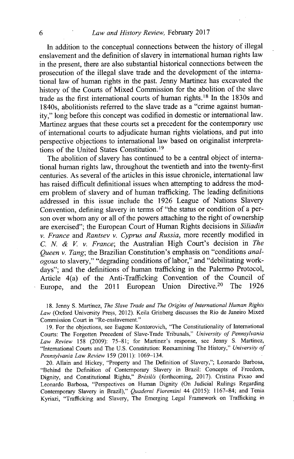In addition to the conceptual connections between the history of illegal enslavement and the definition of slavery in international human rights law in the present, there are also substantial historical connections between the prosecution of the illegal slave trade and the development of the international law of human rights in the past. Jenny Martinez has excavated the history of the Courts of Mixed Commission for the abolition of the slave trade as the first international courts of human rights.<sup>18</sup> In the 1830s and 1840s, abolitionists referred to the slave trade as a "crime against humanity," long before this concept was codified in domestic or international law. Martinez argues that these courts set a precedent for the contemporary use of international courts to adjudicate human rights violations, and put into perspective objections to international law based on originalist interpretations of the United States Constitution. <sup>19</sup>

The abolition of slavery has continued to be a central object of international human rights law, throughout the twentieth and into the twenty-first centuries. As several of the articles in this issue chronicle, international law has raised difficult definitional issues when attempting to address the modem problem of slavery and of human trafficking. The leading definitions addressed in this issue include the **1926** League of Nations Slavery Convention, defining slavery in terms of "the status or condition of a person over whom any or all of the powers attaching to the right of ownership are exercised"; the European Court of Human Rights decisions in *Siliadin v. France and Rantsev v. Cyprus and Russia,* more recently modified in *C. N & V v. France;* the Australian High Court's decision in *The Queen v. Tang;* the Brazilian Constitution's emphasis on "conditions *analogous* to slavery," "degrading conditions of labor," and "debilitating workdays"; and the definitions of human trafficking in the Palermo Protocol, Article 4(a) of the Anti-Trafficking Convention of the Council of Europe, and the 2011 European Union Directive.<sup>20</sup> The 1926

18. Jenny S. Martinez, *The Slave Trade and The Origins of International Human Rights Law* (Oxford University Press, 2012). Keila Grinberg discusses the Rio de Janeiro Mixed Commission Court in "Re-enslavement."

**19.** For the objections, see Eugene Kontorovich, "The Constitutionality of International Courts: The Forgotten Precedent of Slave-Trade Tribunals," *University of Pennsylvania Law Review* **158 (2009): 75-81;** for Martinez's response, see Jenny **S.** Martinez, "International Courts and The **U.S.** Constitution: Reexamining The History," *University of Pennsylvania Law Review* **159** (2011): 1069-134.

20. Allain and Hickey, "Property and The Definition of Slavery,"; Leonardo Barbosa, "Behind the Definition of Contemporary Slavery in Brazil: Concepts of Freedom, Dignity, and Constitutional Rights," *Bresil/s* (forthcoming, **2017).** Cristina Pixao and Leonardo Barbosa, "Perspectives on Human Dignity (On Judicial Rulings Regarding Contemporary Slavery in Brazil)," *Quaderni Fiorentini* 44 **(2015): 1167-84;** and Tenia Kyriazi, "Trafficking and Slavery, The Emerging Legal Framework on Trafficking in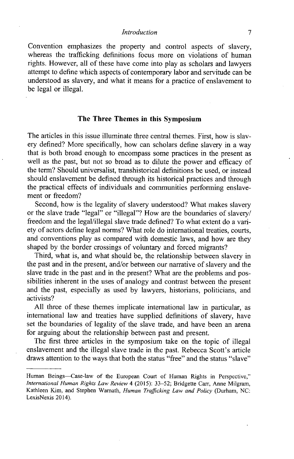Convention emphasizes the property and control aspects of slavery, whereas the trafficking definitions focus more on violations of human rights. However, all of these have come into play as scholars and lawyers attempt to define which aspects of contemporary labor and servitude can be understood as slavery, and what it means for a practice of enslavement to be legal or illegal.

#### **The Three Themes in this Symposium**

The articles in this issue illuminate three central themes. First, how is slavery defined? More specifically, how can scholars define slavery in a way that is both broad enough to encompass some practices in the present as well as the past, but not so broad as to dilute the power and efficacy of the term? Should universalist, transhistorical definitions be used, or instead should enslavement be defined through its historical practices and through the practical effects of individuals and communities performing enslavement or freedom?

Second, how is the legality of slavery understood? What makes slavery or the slave trade "legal" or "illegal"? How are the boundaries of slavery/ freedom and the legal/illegal slave trade defined? To what extent do a variety of actors define legal norms? What role do international treaties, courts, and conventions play as compared with domestic laws, and how are they shaped **by** the border crossings of voluntary and forced migrants?

Third, what is, and what should be, the relationship between slavery in the past and in the present, and/or between our narrative of slavery and the slave trade in the past and in the present? What are the problems and possibilities inherent in the uses of analogy and contrast between the present and the past, especially as used **by** lawyers, historians, politicians, and activists?

**All** three of these themes implicate international law in particular, as international law and treaties have supplied definitions of slavery, have set the boundaries of legality of the slave trade, and have been an arena for arguing about the relationship between past and present.

The first three articles in the symposium take on the topic of illegal enslavement and the illegal slave trade in the past. Rebecca Scott's article draws attention to the ways that both the status "free" and the status "slave"

Human Beings-Case-law of the European Court of Human Rights in Perspective," *International Human Rights Law Review* 4 **(2015): 33-52;** Bridgette Carr, Anne Milgram, Kathleen Kim, and Stephen Wamath, *Human Trafficking Law and Policy* (Durham, **NC:** LexisNexis 2014).